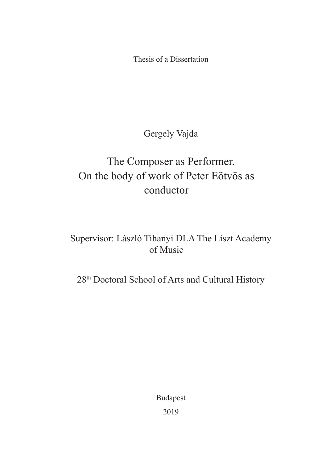Thesis of a Dissertation

Gergely Vajda

# The Composer as Performer. On the body of work of Peter Eötvös as conductor

### Supervisor: László Tihanyi DLA The Liszt Academy of Music

28th Doctoral School of Arts and Cultural History

Budapest 2019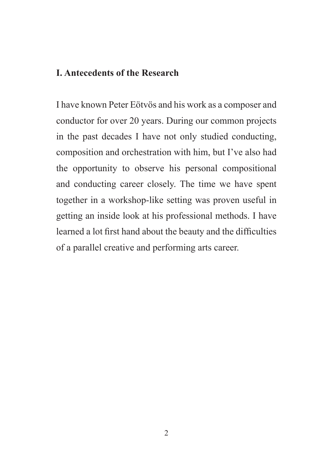#### **I. Antecedents of the Research**

I have known Peter Eötvös and his work as a composer and conductor for over 20 years. During our common projects in the past decades I have not only studied conducting, composition and orchestration with him, but I've also had the opportunity to observe his personal compositional and conducting career closely. The time we have spent together in a workshop-like setting was proven useful in getting an inside look at his professional methods. I have learned a lot first hand about the beauty and the difficulties of a parallel creative and performing arts career.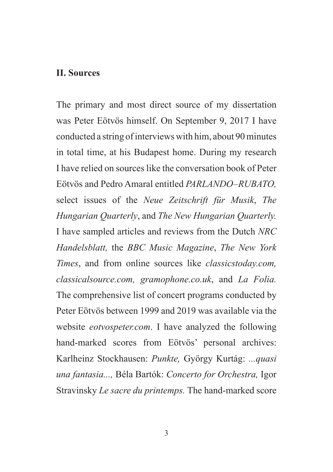#### **II. Sources**

The primary and most direct source of my dissertation was Peter Eötvös himself. On September 9, 2017 I have conducted a string of interviews with him, about 90 minutes in total time, at his Budapest home. During my research I have relied on sources like the conversation book of Peter Eötvös and Pedro Amaral entitled *PARLANDO–RUBATO,*  select issues of the *Neue Zeitschrift für Musik*, *The Hungarian Quarterly*, and *The New Hungarian Quarterly.*  I have sampled articles and reviews from the Dutch *NRC Handelsblatt,* the *BBC Music Magazine*, *The New York Times*, and from online sources like *classicstoday.com, classicalsource.com, gramophone.co.uk*, and *La Folia.*  The comprehensive list of concert programs conducted by Peter Eötvös between 1999 and 2019 was available via the website *eotvospeter.com*. I have analyzed the following hand-marked scores from Eötvös' personal archives: Karlheinz Stockhausen: *Punkte,* György Kurtág: *...quasi una fantasia...,* Béla Bartók: *Concerto for Orchestra,* Igor Stravinsky *Le sacre du printemps.* The hand-marked score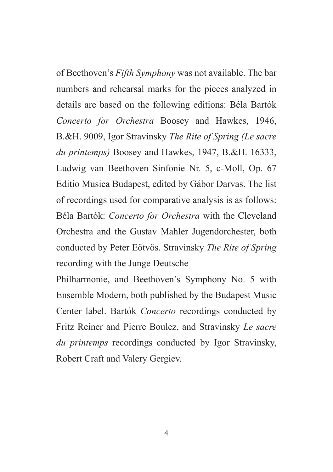of Beethoven's *Fifth Symphony* was not available. The bar numbers and rehearsal marks for the pieces analyzed in details are based on the following editions: Béla Bartók *Concerto for Orchestra* Boosey and Hawkes, 1946, B.&H. 9009, Igor Stravinsky *The Rite of Spring (Le sacre du printemps)* Boosey and Hawkes, 1947, B.&H. 16333, Ludwig van Beethoven Sinfonie Nr. 5, c-Moll, Op. 67 Editio Musica Budapest, edited by Gábor Darvas. The list of recordings used for comparative analysis is as follows: Béla Bartók: *Concerto for Orchestra* with the Cleveland Orchestra and the Gustav Mahler Jugendorchester, both conducted by Peter Eötvös. Stravinsky *The Rite of Spring*  recording with the Junge Deutsche

Philharmonie, and Beethoven's Symphony No. 5 with Ensemble Modern, both published by the Budapest Music Center label. Bartók *Concerto* recordings conducted by Fritz Reiner and Pierre Boulez, and Stravinsky *Le sacre du printemps* recordings conducted by Igor Stravinsky, Robert Craft and Valery Gergiev.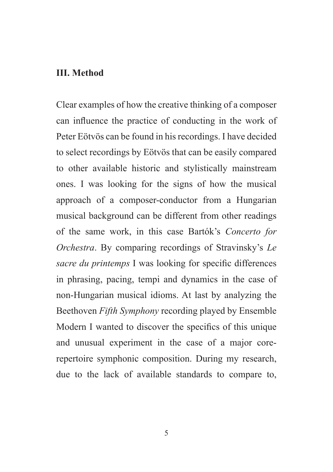#### **III. Method**

Clear examples of how the creative thinking of a composer can influence the practice of conducting in the work of Peter Eötvös can be found in his recordings. I have decided to select recordings by Eötvös that can be easily compared to other available historic and stylistically mainstream ones. I was looking for the signs of how the musical approach of a composer-conductor from a Hungarian musical background can be different from other readings of the same work, in this case Bartók's *Concerto for Orchestra*. By comparing recordings of Stravinsky's *Le sacre du printemps* I was looking for specific differences in phrasing, pacing, tempi and dynamics in the case of non-Hungarian musical idioms. At last by analyzing the Beethoven *Fifth Symphony* recording played by Ensemble Modern I wanted to discover the specifics of this unique and unusual experiment in the case of a major corerepertoire symphonic composition. During my research, due to the lack of available standards to compare to,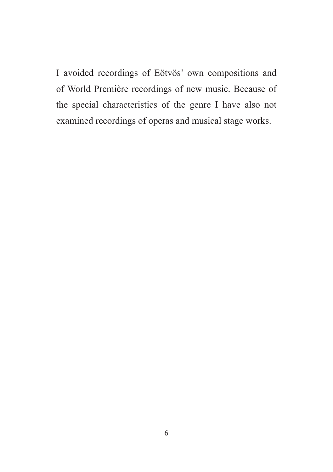I avoided recordings of Eötvös' own compositions and of World Première recordings of new music. Because of the special characteristics of the genre I have also not examined recordings of operas and musical stage works.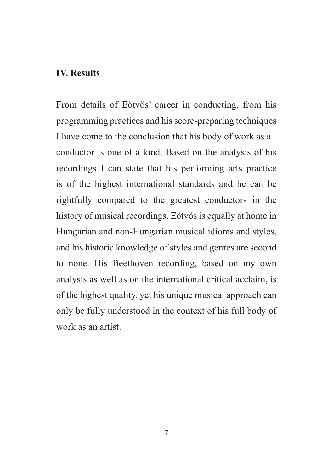#### **IV. Results**

From details of Eötvös' career in conducting, from his programming practices and his score-preparing techniques I have come to the conclusion that his body of work as a conductor is one of a kind. Based on the analysis of his recordings I can state that his performing arts practice is of the highest international standards and he can be rightfully compared to the greatest conductors in the history of musical recordings. Eötvös is equally at home in Hungarian and non-Hungarian musical idioms and styles, and his historic knowledge of styles and genres are second to none. His Beethoven recording, based on my own analysis as well as on the international critical acclaim, is of the highest quality, yet his unique musical approach can only be fully understood in the context of his full body of work as an artist.